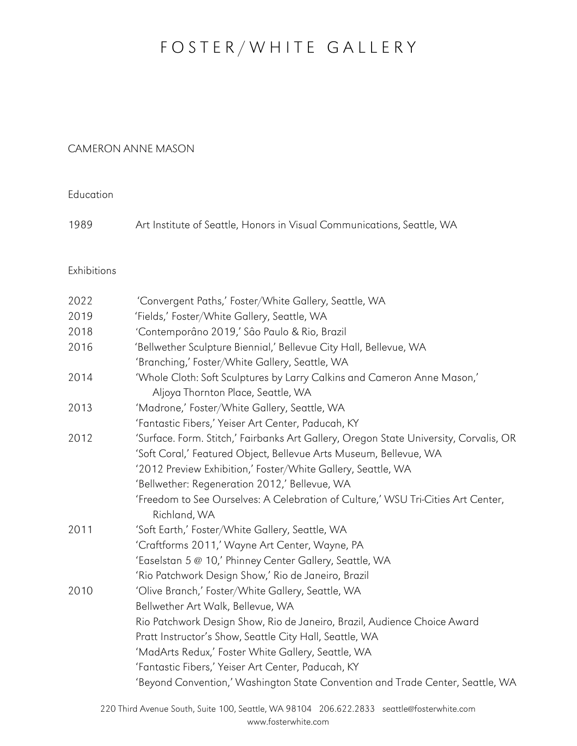## FOSTER/WHITE GALLERY

## CAMERON ANNE MASON

**Education** 

| 1989 |  |  | Art Institute of Seattle, Honors in Visual Communications, Seattle, WA |  |  |
|------|--|--|------------------------------------------------------------------------|--|--|
|------|--|--|------------------------------------------------------------------------|--|--|

Exhibitions

| 2022 | 'Convergent Paths,' Foster/White Gallery, Seattle, WA                                 |
|------|---------------------------------------------------------------------------------------|
| 2019 | 'Fields,' Foster/White Gallery, Seattle, WA                                           |
| 2018 | 'Contemporâno 2019,' Sâo Paulo & Rio, Brazil                                          |
| 2016 | 'Bellwether Sculpture Biennial,' Bellevue City Hall, Bellevue, WA                     |
|      | 'Branching,' Foster/White Gallery, Seattle, WA                                        |
| 2014 | 'Whole Cloth: Soft Sculptures by Larry Calkins and Cameron Anne Mason,'               |
|      | Aljoya Thornton Place, Seattle, WA                                                    |
| 2013 | 'Madrone,' Foster/White Gallery, Seattle, WA                                          |
|      | 'Fantastic Fibers,' Yeiser Art Center, Paducah, KY                                    |
| 2012 | 'Surface. Form. Stitch,' Fairbanks Art Gallery, Oregon State University, Corvalis, OR |
|      | 'Soft Coral,' Featured Object, Bellevue Arts Museum, Bellevue, WA                     |
|      | '2012 Preview Exhibition,' Foster/White Gallery, Seattle, WA                          |
|      | 'Bellwether: Regeneration 2012,' Bellevue, WA                                         |
|      | 'Freedom to See Ourselves: A Celebration of Culture,' WSU Tri-Cities Art Center,      |
|      | Richland, WA                                                                          |
| 2011 | 'Soft Earth,' Foster/White Gallery, Seattle, WA                                       |
|      | 'Craftforms 2011,' Wayne Art Center, Wayne, PA                                        |
|      | 'Easelstan 5 @ 10,' Phinney Center Gallery, Seattle, WA                               |
|      | 'Rio Patchwork Design Show,' Rio de Janeiro, Brazil                                   |
| 2010 | 'Olive Branch,' Foster/White Gallery, Seattle, WA                                     |
|      | Bellwether Art Walk, Bellevue, WA                                                     |
|      | Rio Patchwork Design Show, Rio de Janeiro, Brazil, Audience Choice Award              |
|      | Pratt Instructor's Show, Seattle City Hall, Seattle, WA                               |
|      | 'MadArts Redux,' Foster White Gallery, Seattle, WA                                    |
|      | 'Fantastic Fibers,' Yeiser Art Center, Paducah, KY                                    |
|      | 'Beyond Convention,' Washington State Convention and Trade Center, Seattle, WA        |